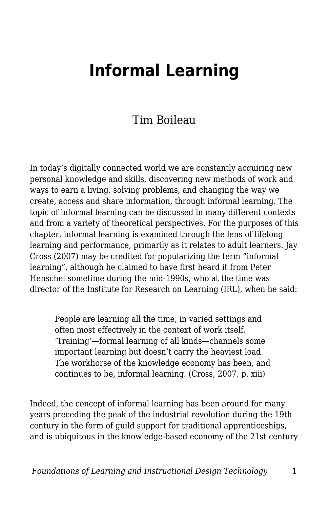# **Informal Learning**

#### Tim Boileau

In today's digitally connected world we are constantly acquiring new personal knowledge and skills, discovering new methods of work and ways to earn a living, solving problems, and changing the way we create, access and share information, through informal learning. The topic of informal learning can be discussed in many different contexts and from a variety of theoretical perspectives. For the purposes of this chapter, informal learning is examined through the lens of lifelong learning and performance, primarily as it relates to adult learners. Jay Cross (2007) may be credited for popularizing the term "informal learning", although he claimed to have first heard it from Peter Henschel sometime during the mid-1990s, who at the time was director of the Institute for Research on Learning (IRL), when he said:

People are learning all the time, in varied settings and often most effectively in the context of work itself. 'Training'—formal learning of all kinds—channels some important learning but doesn't carry the heaviest load. The workhorse of the knowledge economy has been, and continues to be, informal learning. (Cross, 2007, p. xiii)

Indeed, the concept of informal learning has been around for many years preceding the peak of the industrial revolution during the 19th century in the form of guild support for traditional apprenticeships, and is ubiquitous in the knowledge-based economy of the 21st century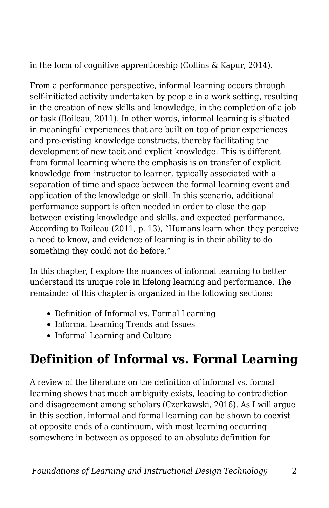in the form of cognitive apprenticeship (Collins & Kapur, 2014).

From a performance perspective, informal learning occurs through self-initiated activity undertaken by people in a work setting, resulting in the creation of new skills and knowledge, in the completion of a job or task (Boileau, 2011). In other words, informal learning is situated in meaningful experiences that are built on top of prior experiences and pre-existing knowledge constructs, thereby facilitating the development of new tacit and explicit knowledge. This is different from formal learning where the emphasis is on transfer of explicit knowledge from instructor to learner, typically associated with a separation of time and space between the formal learning event and application of the knowledge or skill. In this scenario, additional performance support is often needed in order to close the gap between existing knowledge and skills, and expected performance. According to Boileau (2011, p. 13), "Humans learn when they perceive a need to know, and evidence of learning is in their ability to do something they could not do before."

In this chapter, I explore the nuances of informal learning to better understand its unique role in lifelong learning and performance. The remainder of this chapter is organized in the following sections:

- Definition of Informal vs. Formal Learning
- Informal Learning Trends and Issues
- Informal Learning and Culture

## **Definition of Informal vs. Formal Learning**

A review of the literature on the definition of informal vs. formal learning shows that much ambiguity exists, leading to contradiction and disagreement among scholars (Czerkawski, 2016). As I will argue in this section, informal and formal learning can be shown to coexist at opposite ends of a continuum, with most learning occurring somewhere in between as opposed to an absolute definition for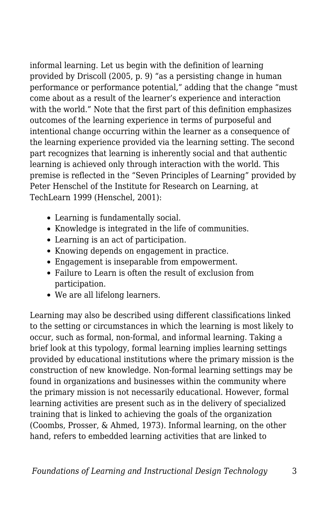informal learning. Let us begin with the definition of learning provided by Driscoll (2005, p. 9) "as a persisting change in human performance or performance potential," adding that the change "must come about as a result of the learner's experience and interaction with the world." Note that the first part of this definition emphasizes outcomes of the learning experience in terms of purposeful and intentional change occurring within the learner as a consequence of the learning experience provided via the learning setting. The second part recognizes that learning is inherently social and that authentic learning is achieved only through interaction with the world. This premise is reflected in the "Seven Principles of Learning" provided by Peter Henschel of the Institute for Research on Learning, at TechLearn 1999 (Henschel, 2001):

- Learning is fundamentally social.
- Knowledge is integrated in the life of communities.
- Learning is an act of participation.
- Knowing depends on engagement in practice.
- Engagement is inseparable from empowerment.
- Failure to Learn is often the result of exclusion from participation.
- We are all lifelong learners.

Learning may also be described using different classifications linked to the setting or circumstances in which the learning is most likely to occur, such as formal, non-formal, and informal learning. Taking a brief look at this typology, formal learning implies learning settings provided by educational institutions where the primary mission is the construction of new knowledge. Non-formal learning settings may be found in organizations and businesses within the community where the primary mission is not necessarily educational. However, formal learning activities are present such as in the delivery of specialized training that is linked to achieving the goals of the organization (Coombs, Prosser, & Ahmed, 1973). Informal learning, on the other hand, refers to embedded learning activities that are linked to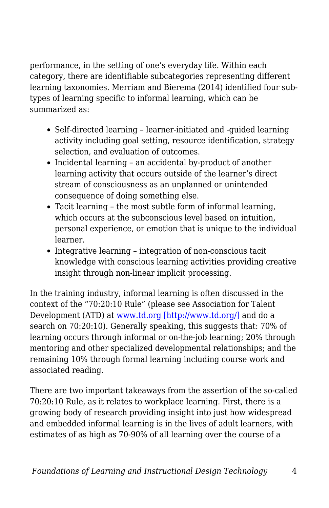performance, in the setting of one's everyday life. Within each category, there are identifiable subcategories representing different learning taxonomies. Merriam and Bierema (2014) identified four subtypes of learning specific to informal learning, which can be summarized as:

- Self-directed learning learner-initiated and -guided learning activity including goal setting, resource identification, strategy selection, and evaluation of outcomes.
- Incidental learning an accidental by-product of another learning activity that occurs outside of the learner's direct stream of consciousness as an unplanned or unintended consequence of doing something else.
- Tacit learning the most subtle form of informal learning, which occurs at the subconscious level based on intuition. personal experience, or emotion that is unique to the individual learner.
- Integrative learning integration of non-conscious tacit knowledge with conscious learning activities providing creative insight through non-linear implicit processing.

In the training industry, informal learning is often discussed in the context of the "70:20:10 Rule" (please see Association for Talent Development (ATD) at [www.td.org \[http://www.td.org/\]](http://www.td.org/) and do a search on 70:20:10). Generally speaking, this suggests that: 70% of learning occurs through informal or on-the-job learning; 20% through mentoring and other specialized developmental relationships; and the remaining 10% through formal learning including course work and associated reading.

There are two important takeaways from the assertion of the so-called 70:20:10 Rule, as it relates to workplace learning. First, there is a growing body of research providing insight into just how widespread and embedded informal learning is in the lives of adult learners, with estimates of as high as 70-90% of all learning over the course of a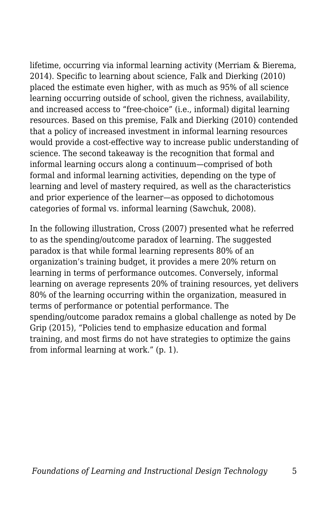lifetime, occurring via informal learning activity (Merriam & Bierema, 2014). Specific to learning about science, Falk and Dierking (2010) placed the estimate even higher, with as much as 95% of all science learning occurring outside of school, given the richness, availability, and increased access to "free-choice" (i.e., informal) digital learning resources. Based on this premise, Falk and Dierking (2010) contended that a policy of increased investment in informal learning resources would provide a cost-effective way to increase public understanding of science. The second takeaway is the recognition that formal and informal learning occurs along a continuum—comprised of both formal and informal learning activities, depending on the type of learning and level of mastery required, as well as the characteristics and prior experience of the learner—as opposed to dichotomous categories of formal vs. informal learning (Sawchuk, 2008).

In the following illustration, Cross (2007) presented what he referred to as the spending/outcome paradox of learning. The suggested paradox is that while formal learning represents 80% of an organization's training budget, it provides a mere 20% return on learning in terms of performance outcomes. Conversely, informal learning on average represents 20% of training resources, yet delivers 80% of the learning occurring within the organization, measured in terms of performance or potential performance. The spending/outcome paradox remains a global challenge as noted by De Grip (2015), "Policies tend to emphasize education and formal training, and most firms do not have strategies to optimize the gains from informal learning at work." (p. 1).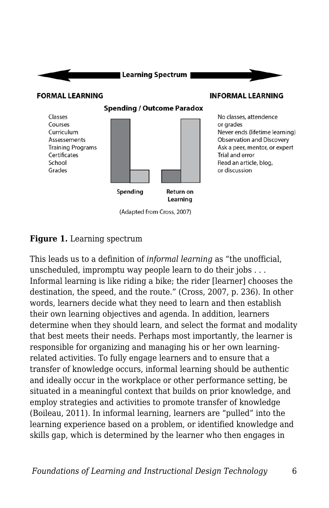

#### **Figure 1.** Learning spectrum

This leads us to a definition of *informal learning* as "the unofficial, unscheduled, impromptu way people learn to do their jobs . . . Informal learning is like riding a bike; the rider [learner] chooses the destination, the speed, and the route." (Cross, 2007, p. 236). In other words, learners decide what they need to learn and then establish their own learning objectives and agenda. In addition, learners determine when they should learn, and select the format and modality that best meets their needs. Perhaps most importantly, the learner is responsible for organizing and managing his or her own learningrelated activities. To fully engage learners and to ensure that a transfer of knowledge occurs, informal learning should be authentic and ideally occur in the workplace or other performance setting, be situated in a meaningful context that builds on prior knowledge, and employ strategies and activities to promote transfer of knowledge (Boileau, 2011). In informal learning, learners are "pulled" into the learning experience based on a problem, or identified knowledge and skills gap, which is determined by the learner who then engages in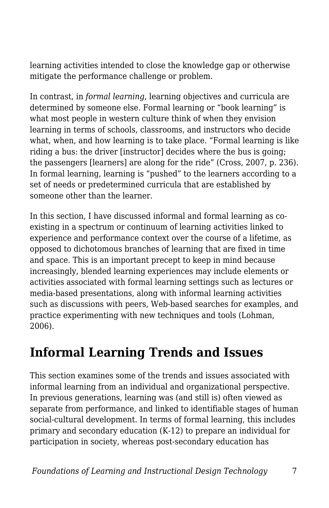learning activities intended to close the knowledge gap or otherwise mitigate the performance challenge or problem.

In contrast, in *formal learning*, learning objectives and curricula are determined by someone else. Formal learning or "book learning" is what most people in western culture think of when they envision learning in terms of schools, classrooms, and instructors who decide what, when, and how learning is to take place. "Formal learning is like riding a bus: the driver [instructor] decides where the bus is going; the passengers [learners] are along for the ride" (Cross, 2007, p. 236). In formal learning, learning is "pushed" to the learners according to a set of needs or predetermined curricula that are established by someone other than the learner.

In this section, I have discussed informal and formal learning as coexisting in a spectrum or continuum of learning activities linked to experience and performance context over the course of a lifetime, as opposed to dichotomous branches of learning that are fixed in time and space. This is an important precept to keep in mind because increasingly, blended learning experiences may include elements or activities associated with formal learning settings such as lectures or media-based presentations, along with informal learning activities such as discussions with peers, Web-based searches for examples, and practice experimenting with new techniques and tools (Lohman, 2006).

### **Informal Learning Trends and Issues**

This section examines some of the trends and issues associated with informal learning from an individual and organizational perspective. In previous generations, learning was (and still is) often viewed as separate from performance, and linked to identifiable stages of human social-cultural development. In terms of formal learning, this includes primary and secondary education (K-12) to prepare an individual for participation in society, whereas post-secondary education has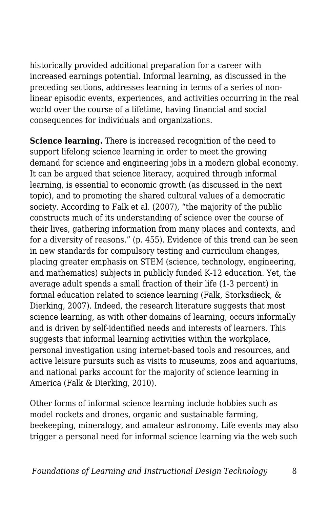historically provided additional preparation for a career with increased earnings potential. Informal learning, as discussed in the preceding sections, addresses learning in terms of a series of nonlinear episodic events, experiences, and activities occurring in the real world over the course of a lifetime, having financial and social consequences for individuals and organizations.

**Science learning.** There is increased recognition of the need to support lifelong science learning in order to meet the growing demand for science and engineering jobs in a modern global economy. It can be argued that science literacy, acquired through informal learning, is essential to economic growth (as discussed in the next topic), and to promoting the shared cultural values of a democratic society. According to Falk et al. (2007), "the majority of the public constructs much of its understanding of science over the course of their lives, gathering information from many places and contexts, and for a diversity of reasons." (p. 455). Evidence of this trend can be seen in new standards for compulsory testing and curriculum changes, placing greater emphasis on STEM (science, technology, engineering, and mathematics) subjects in publicly funded K-12 education. Yet, the average adult spends a small fraction of their life (1-3 percent) in formal education related to science learning (Falk, Storksdieck, & Dierking, 2007). Indeed, the research literature suggests that most science learning, as with other domains of learning, occurs informally and is driven by self-identified needs and interests of learners. This suggests that informal learning activities within the workplace, personal investigation using internet-based tools and resources, and active leisure pursuits such as visits to museums, zoos and aquariums, and national parks account for the majority of science learning in America (Falk & Dierking, 2010).

Other forms of informal science learning include hobbies such as model rockets and drones, organic and sustainable farming, beekeeping, mineralogy, and amateur astronomy. Life events may also trigger a personal need for informal science learning via the web such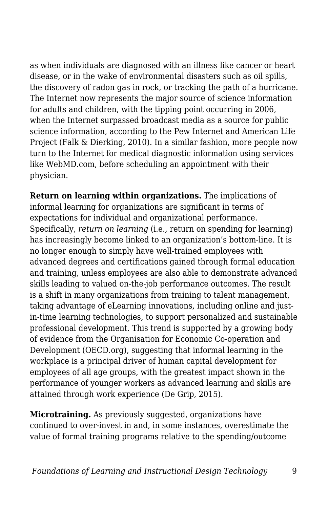as when individuals are diagnosed with an illness like cancer or heart disease, or in the wake of environmental disasters such as oil spills, the discovery of radon gas in rock, or tracking the path of a hurricane. The Internet now represents the major source of science information for adults and children, with the tipping point occurring in 2006, when the Internet surpassed broadcast media as a source for public science information, according to the Pew Internet and American Life Project (Falk & Dierking, 2010). In a similar fashion, more people now turn to the Internet for medical diagnostic information using services like WebMD.com, before scheduling an appointment with their physician.

**Return on learning within organizations.** The implications of informal learning for organizations are significant in terms of expectations for individual and organizational performance. Specifically, *return on learning* (i.e., return on spending for learning) has increasingly become linked to an organization's bottom-line. It is no longer enough to simply have well-trained employees with advanced degrees and certifications gained through formal education and training, unless employees are also able to demonstrate advanced skills leading to valued on-the-job performance outcomes. The result is a shift in many organizations from training to talent management, taking advantage of eLearning innovations, including online and justin-time learning technologies, to support personalized and sustainable professional development. This trend is supported by a growing body of evidence from the Organisation for Economic Co-operation and Development (OECD.org), suggesting that informal learning in the workplace is a principal driver of human capital development for employees of all age groups, with the greatest impact shown in the performance of younger workers as advanced learning and skills are attained through work experience (De Grip, 2015).

**Microtraining.** As previously suggested, organizations have continued to over-invest in and, in some instances, overestimate the value of formal training programs relative to the spending/outcome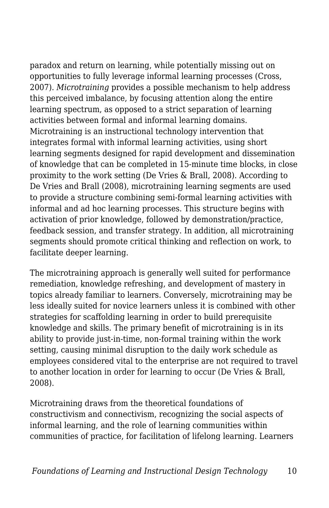paradox and return on learning, while potentially missing out on opportunities to fully leverage informal learning processes (Cross, 2007). *Microtraining* provides a possible mechanism to help address this perceived imbalance, by focusing attention along the entire learning spectrum, as opposed to a strict separation of learning activities between formal and informal learning domains. Microtraining is an instructional technology intervention that integrates formal with informal learning activities, using short learning segments designed for rapid development and dissemination of knowledge that can be completed in 15-minute time blocks, in close proximity to the work setting (De Vries & Brall, 2008). According to De Vries and Brall (2008), microtraining learning segments are used to provide a structure combining semi-formal learning activities with informal and ad hoc learning processes. This structure begins with activation of prior knowledge, followed by demonstration/practice, feedback session, and transfer strategy. In addition, all microtraining segments should promote critical thinking and reflection on work, to facilitate deeper learning.

The microtraining approach is generally well suited for performance remediation, knowledge refreshing, and development of mastery in topics already familiar to learners. Conversely, microtraining may be less ideally suited for novice learners unless it is combined with other strategies for scaffolding learning in order to build prerequisite knowledge and skills. The primary benefit of microtraining is in its ability to provide just-in-time, non-formal training within the work setting, causing minimal disruption to the daily work schedule as employees considered vital to the enterprise are not required to travel to another location in order for learning to occur (De Vries & Brall, 2008).

Microtraining draws from the theoretical foundations of constructivism and connectivism, recognizing the social aspects of informal learning, and the role of learning communities within communities of practice, for facilitation of lifelong learning. Learners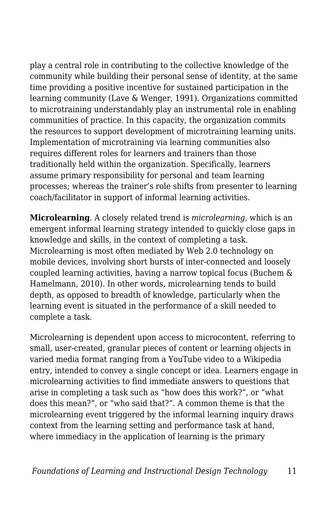play a central role in contributing to the collective knowledge of the community while building their personal sense of identity, at the same time providing a positive incentive for sustained participation in the learning community (Lave & Wenger, 1991). Organizations committed to microtraining understandably play an instrumental role in enabling communities of practice. In this capacity, the organization commits the resources to support development of microtraining learning units. Implementation of microtraining via learning communities also requires different roles for learners and trainers than those traditionally held within the organization. Specifically, learners assume primary responsibility for personal and team learning processes; whereas the trainer's role shifts from presenter to learning coach/facilitator in support of informal learning activities.

**Microlearning**. A closely related trend is *microlearning*, which is an emergent informal learning strategy intended to quickly close gaps in knowledge and skills, in the context of completing a task. Microlearning is most often mediated by Web 2.0 technology on mobile devices, involving short bursts of inter-connected and loosely coupled learning activities, having a narrow topical focus (Buchem & Hamelmann, 2010). In other words, microlearning tends to build depth, as opposed to breadth of knowledge, particularly when the learning event is situated in the performance of a skill needed to complete a task.

Microlearning is dependent upon access to microcontent, referring to small, user-created, granular pieces of content or learning objects in varied media format ranging from a YouTube video to a Wikipedia entry, intended to convey a single concept or idea. Learners engage in microlearning activities to find immediate answers to questions that arise in completing a task such as "how does this work?", or "what does this mean?", or "who said that?". A common theme is that the microlearning event triggered by the informal learning inquiry draws context from the learning setting and performance task at hand, where immediacy in the application of learning is the primary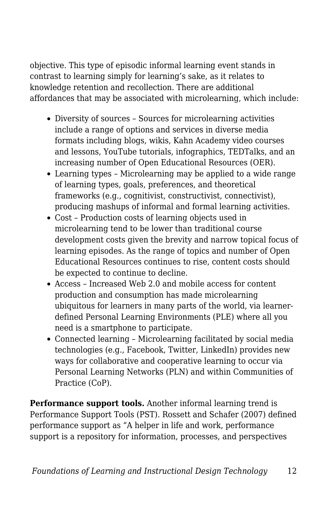objective. This type of episodic informal learning event stands in contrast to learning simply for learning's sake, as it relates to knowledge retention and recollection. There are additional affordances that may be associated with microlearning, which include:

- Diversity of sources Sources for microlearning activities include a range of options and services in diverse media formats including blogs, wikis, Kahn Academy video courses and lessons, YouTube tutorials, infographics, TEDTalks, and an increasing number of Open Educational Resources (OER).
- Learning types Microlearning may be applied to a wide range of learning types, goals, preferences, and theoretical frameworks (e.g., cognitivist, constructivist, connectivist), producing mashups of informal and formal learning activities.
- Cost Production costs of learning objects used in microlearning tend to be lower than traditional course development costs given the brevity and narrow topical focus of learning episodes. As the range of topics and number of Open Educational Resources continues to rise, content costs should be expected to continue to decline.
- Access Increased Web 2.0 and mobile access for content production and consumption has made microlearning ubiquitous for learners in many parts of the world, via learnerdefined Personal Learning Environments (PLE) where all you need is a smartphone to participate.
- Connected learning Microlearning facilitated by social media technologies (e.g., Facebook, Twitter, LinkedIn) provides new ways for collaborative and cooperative learning to occur via Personal Learning Networks (PLN) and within Communities of Practice (CoP).

**Performance support tools.** Another informal learning trend is Performance Support Tools (PST). Rossett and Schafer (2007) defined performance support as "A helper in life and work, performance support is a repository for information, processes, and perspectives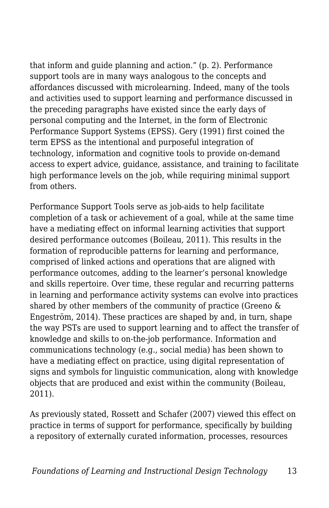that inform and guide planning and action." (p. 2). Performance support tools are in many ways analogous to the concepts and affordances discussed with microlearning. Indeed, many of the tools and activities used to support learning and performance discussed in the preceding paragraphs have existed since the early days of personal computing and the Internet, in the form of Electronic Performance Support Systems (EPSS). Gery (1991) first coined the term EPSS as the intentional and purposeful integration of technology, information and cognitive tools to provide on-demand access to expert advice, guidance, assistance, and training to facilitate high performance levels on the job, while requiring minimal support from others.

Performance Support Tools serve as job-aids to help facilitate completion of a task or achievement of a goal, while at the same time have a mediating effect on informal learning activities that support desired performance outcomes (Boileau, 2011). This results in the formation of reproducible patterns for learning and performance, comprised of linked actions and operations that are aligned with performance outcomes, adding to the learner's personal knowledge and skills repertoire. Over time, these regular and recurring patterns in learning and performance activity systems can evolve into practices shared by other members of the community of practice (Greeno & Engeström, 2014). These practices are shaped by and, in turn, shape the way PSTs are used to support learning and to affect the transfer of knowledge and skills to on-the-job performance. Information and communications technology (e.g., social media) has been shown to have a mediating effect on practice, using digital representation of signs and symbols for linguistic communication, along with knowledge objects that are produced and exist within the community (Boileau, 2011).

As previously stated, Rossett and Schafer (2007) viewed this effect on practice in terms of support for performance, specifically by building a repository of externally curated information, processes, resources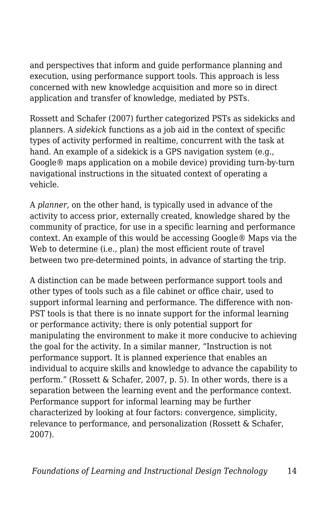and perspectives that inform and guide performance planning and execution, using performance support tools. This approach is less concerned with new knowledge acquisition and more so in direct application and transfer of knowledge, mediated by PSTs.

Rossett and Schafer (2007) further categorized PSTs as sidekicks and planners. A *sidekick* functions as a job aid in the context of specific types of activity performed in realtime, concurrent with the task at hand. An example of a sidekick is a GPS navigation system (e.g., Google® maps application on a mobile device) providing turn-by-turn navigational instructions in the situated context of operating a vehicle.

A *planner*, on the other hand, is typically used in advance of the activity to access prior, externally created, knowledge shared by the community of practice, for use in a specific learning and performance context. An example of this would be accessing Google® Maps via the Web to determine (i.e., plan) the most efficient route of travel between two pre-determined points, in advance of starting the trip.

A distinction can be made between performance support tools and other types of tools such as a file cabinet or office chair, used to support informal learning and performance. The difference with non-PST tools is that there is no innate support for the informal learning or performance activity; there is only potential support for manipulating the environment to make it more conducive to achieving the goal for the activity. In a similar manner, "Instruction is not performance support. It is planned experience that enables an individual to acquire skills and knowledge to advance the capability to perform." (Rossett & Schafer, 2007, p. 5). In other words, there is a separation between the learning event and the performance context. Performance support for informal learning may be further characterized by looking at four factors: convergence, simplicity, relevance to performance, and personalization (Rossett & Schafer, 2007).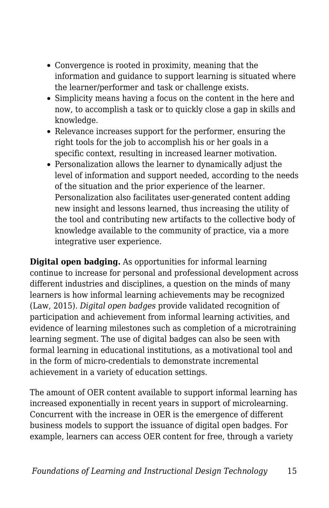- Convergence is rooted in proximity, meaning that the information and guidance to support learning is situated where the learner/performer and task or challenge exists.
- Simplicity means having a focus on the content in the here and now, to accomplish a task or to quickly close a gap in skills and knowledge.
- Relevance increases support for the performer, ensuring the right tools for the job to accomplish his or her goals in a specific context, resulting in increased learner motivation.
- Personalization allows the learner to dynamically adjust the level of information and support needed, according to the needs of the situation and the prior experience of the learner. Personalization also facilitates user-generated content adding new insight and lessons learned, thus increasing the utility of the tool and contributing new artifacts to the collective body of knowledge available to the community of practice, via a more integrative user experience.

**Digital open badging.** As opportunities for informal learning continue to increase for personal and professional development across different industries and disciplines, a question on the minds of many learners is how informal learning achievements may be recognized (Law, 2015). *Digital open badges* provide validated recognition of participation and achievement from informal learning activities, and evidence of learning milestones such as completion of a microtraining learning segment. The use of digital badges can also be seen with formal learning in educational institutions, as a motivational tool and in the form of micro-credentials to demonstrate incremental achievement in a variety of education settings.

The amount of OER content available to support informal learning has increased exponentially in recent years in support of microlearning. Concurrent with the increase in OER is the emergence of different business models to support the issuance of digital open badges. For example, learners can access OER content for free, through a variety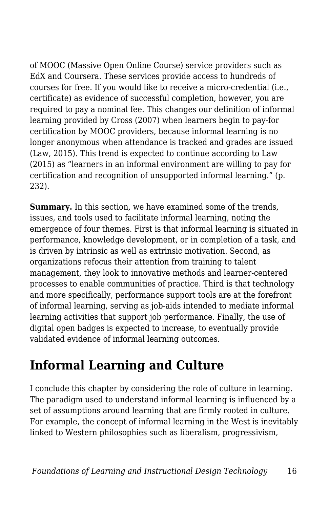of MOOC (Massive Open Online Course) service providers such as EdX and Coursera. These services provide access to hundreds of courses for free. If you would like to receive a micro-credential (i.e., certificate) as evidence of successful completion, however, you are required to pay a nominal fee. This changes our definition of informal learning provided by Cross (2007) when learners begin to pay-for certification by MOOC providers, because informal learning is no longer anonymous when attendance is tracked and grades are issued (Law, 2015). This trend is expected to continue according to Law (2015) as "learners in an informal environment are willing to pay for certification and recognition of unsupported informal learning." (p. 232).

**Summary.** In this section, we have examined some of the trends, issues, and tools used to facilitate informal learning, noting the emergence of four themes. First is that informal learning is situated in performance, knowledge development, or in completion of a task, and is driven by intrinsic as well as extrinsic motivation. Second, as organizations refocus their attention from training to talent management, they look to innovative methods and learner-centered processes to enable communities of practice. Third is that technology and more specifically, performance support tools are at the forefront of informal learning, serving as job-aids intended to mediate informal learning activities that support job performance. Finally, the use of digital open badges is expected to increase, to eventually provide validated evidence of informal learning outcomes.

### **Informal Learning and Culture**

I conclude this chapter by considering the role of culture in learning. The paradigm used to understand informal learning is influenced by a set of assumptions around learning that are firmly rooted in culture. For example, the concept of informal learning in the West is inevitably linked to Western philosophies such as liberalism, progressivism,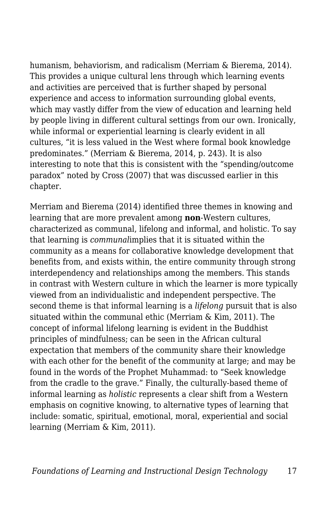humanism, behaviorism, and radicalism (Merriam & Bierema, 2014). This provides a unique cultural lens through which learning events and activities are perceived that is further shaped by personal experience and access to information surrounding global events, which may vastly differ from the view of education and learning held by people living in different cultural settings from our own. Ironically, while informal or experiential learning is clearly evident in all cultures, "it is less valued in the West where formal book knowledge predominates." (Merriam & Bierema, 2014, p. 243). It is also interesting to note that this is consistent with the "spending/outcome paradox" noted by Cross (2007) that was discussed earlier in this chapter.

Merriam and Bierema (2014) identified three themes in knowing and learning that are more prevalent among **non**-Western cultures, characterized as communal, lifelong and informal, and holistic. To say that learning is *communal*implies that it is situated within the community as a means for collaborative knowledge development that benefits from, and exists within, the entire community through strong interdependency and relationships among the members. This stands in contrast with Western culture in which the learner is more typically viewed from an individualistic and independent perspective. The second theme is that informal learning is a *lifelong* pursuit that is also situated within the communal ethic (Merriam & Kim, 2011). The concept of informal lifelong learning is evident in the Buddhist principles of mindfulness; can be seen in the African cultural expectation that members of the community share their knowledge with each other for the benefit of the community at large; and may be found in the words of the Prophet Muhammad: to "Seek knowledge from the cradle to the grave." Finally, the culturally-based theme of informal learning as *holistic* represents a clear shift from a Western emphasis on cognitive knowing, to alternative types of learning that include: somatic, spiritual, emotional, moral, experiential and social learning (Merriam & Kim, 2011).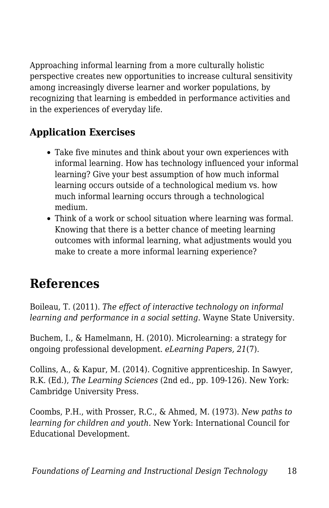Approaching informal learning from a more culturally holistic perspective creates new opportunities to increase cultural sensitivity among increasingly diverse learner and worker populations, by recognizing that learning is embedded in performance activities and in the experiences of everyday life.

#### **Application Exercises**

- Take five minutes and think about your own experiences with informal learning. How has technology influenced your informal learning? Give your best assumption of how much informal learning occurs outside of a technological medium vs. how much informal learning occurs through a technological medium.
- Think of a work or school situation where learning was formal. Knowing that there is a better chance of meeting learning outcomes with informal learning, what adjustments would you make to create a more informal learning experience?

## **References**

Boileau, T. (2011). *The effect of interactive technology on informal learning and performance in a social setting*. Wayne State University.

Buchem, I., & Hamelmann, H. (2010). Microlearning: a strategy for ongoing professional development. *eLearning Papers, 21*(7).

Collins, A., & Kapur, M. (2014). Cognitive apprenticeship. In Sawyer, R.K. (Ed.), *The Learning Sciences* (2nd ed., pp. 109-126). New York: Cambridge University Press.

Coombs, P.H., with Prosser, R.C., & Ahmed, M. (1973). *New paths to learning for children and youth*. New York: International Council for Educational Development.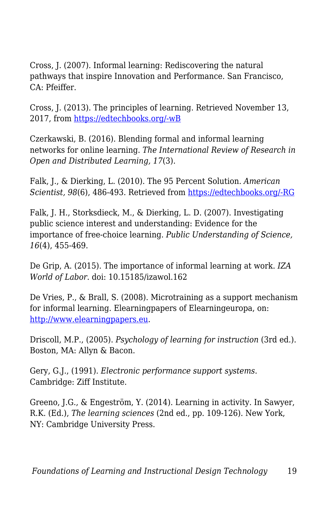Cross, J. (2007). Informal learning: Rediscovering the natural pathways that inspire Innovation and Performance. San Francisco, CA: Pfeiffer.

Cross, J. (2013). The principles of learning. Retrieved November 13, 2017, from [https://edtechbooks.org/-wB](http://www.internettime.com/2013/07/the-principles-of-learning/)

Czerkawski, B. (2016). Blending formal and informal learning networks for online learning. *The International Review of Research in Open and Distributed Learning, 17*(3).

Falk, J., & Dierking, L. (2010). The 95 Percent Solution. *American Scientist, 98*(6), 486-493. Retrieved from [https://edtechbooks.org/-RG](http://www.jstor.org/stable/25766726)

Falk, J. H., Storksdieck, M., & Dierking, L. D. (2007). Investigating public science interest and understanding: Evidence for the importance of free-choice learning. *Public Understanding of Science, 16*(4), 455-469.

De Grip, A. (2015). The importance of informal learning at work. *IZA World of Labor*. doi: 10.15185/izawol.162

De Vries, P., & Brall, S. (2008). Microtraining as a support mechanism for informal learning. Elearningpapers of Elearningeuropa, on: [http://www.elearningpapers.eu](http://www.elearningpapers.eu/).

Driscoll, M.P., (2005). *Psychology of learning for instruction* (3rd ed.). Boston, MA: Allyn & Bacon.

Gery, G.J., (1991). *Electronic performance support systems*. Cambridge: Ziff Institute.

Greeno, J.G., & Engeström, Y. (2014). Learning in activity. In Sawyer, R.K. (Ed.), *The learning sciences* (2nd ed., pp. 109-126). New York, NY: Cambridge University Press.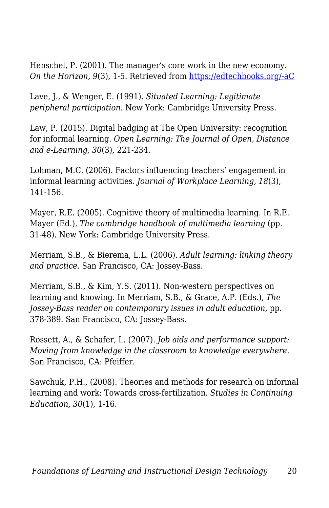Henschel, P. (2001). The manager's core work in the new economy. *On the Horizon, 9*(3), 1-5. Retrieved from [https://edtechbooks.org/-aC](http://ezproxy.lib.uwf.edu/login?url=https://search-proquest-com.ezproxy.lib.uwf.edu/docview/214629364?accountid=14787)

Lave, J., & Wenger, E. (1991). *Situated Learning: Legitimate peripheral participation*. New York: Cambridge University Press.

Law, P. (2015). Digital badging at The Open University: recognition for informal learning. *Open Learning: The Journal of Open, Distance and e-Learning, 30*(3), 221-234.

Lohman, M.C. (2006). Factors influencing teachers' engagement in informal learning activities. *Journal of Workplace Learning, 18*(3), 141-156.

Mayer, R.E. (2005). Cognitive theory of multimedia learning. In R.E. Mayer (Ed.), *The cambridge handbook of multimedia learning* (pp. 31-48). New York: Cambridge University Press.

Merriam, S.B., & Bierema, L.L. (2006). *Adult learning: linking theory and practice*. San Francisco, CA: Jossey-Bass.

Merriam, S.B., & Kim, Y.S. (2011). Non-western perspectives on learning and knowing. In Merriam, S.B., & Grace, A.P. (Eds.), *The Jossey-Bass reader on contemporary issues in adult education,* pp. 378-389. San Francisco, CA: Jossey-Bass.

Rossett, A., & Schafer, L. (2007). *Job aids and performance support: Moving from knowledge in the classroom to knowledge everywhere*. San Francisco, CA: Pfeiffer.

Sawchuk, P.H., (2008). Theories and methods for research on informal learning and work: Towards cross-fertilization. *Studies in Continuing Education, 30*(1), 1-16.